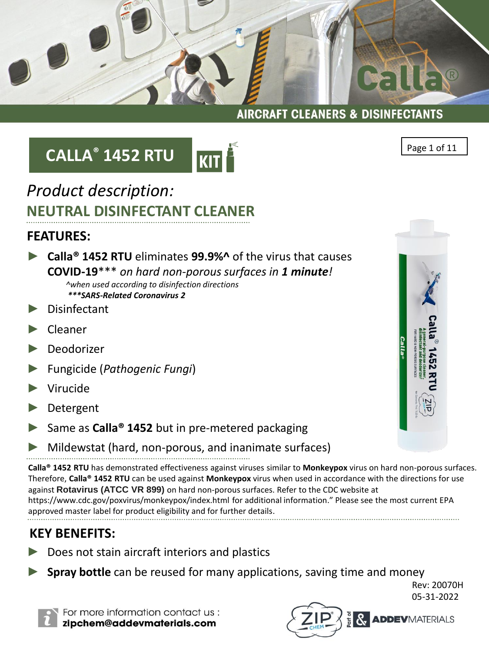GELLE  $\overline{R}$ 

#### **AIRCRAFT CLEANERS & DISINFECTANTS**

# **CALLA® 1452 RTU**



## *Product description:* **NEUTRAL DISINFECTANT CLEANER**

### **FEATURES:**

- ► **Calla® 1452 RTU** eliminates **99.9%^** of the virus that causes **COVID-19**\*\*\* *on hard non-porous surfaces in 1 minute! ^when used according to disinfection directions \*\*\*SARS-Related Coronavirus 2*
- Disinfectant
- ► Cleaner
- **Deodorizer**
- ► Fungicide (*Pathogenic Fungi*)
- ► Virucide
- **Detergent**
- Same as **Calla<sup>®</sup> 1452** but in pre-metered packaging
- Mildewstat (hard, non-porous, and inanimate surfaces)

**Calla® 1452 RTU** has demonstrated effectiveness against viruses similar to **Monkeypox** virus on hard non-porous surfaces. Therefore, **Calla® 1452 RTU** can be used against **Monkeypox** virus when used in accordance with the directions for use against **Rotavirus (ATCC VR 899)** on hard non-porous surfaces. Refer to the CDC website at https://www.cdc.gov/poxvirus/monkeypox/index.html for additional information." Please see the most current EPA approved master label for product eligibility and for further details.

### **KEY BENEFITS:**

- Does not stain aircraft interiors and plastics
- **Spray bottle** can be reused for many applications, saving time and money

Rev: 20070H 05-31-2022



For more information contact us: zipchem@addevmaterials.com



Page 1 of 11

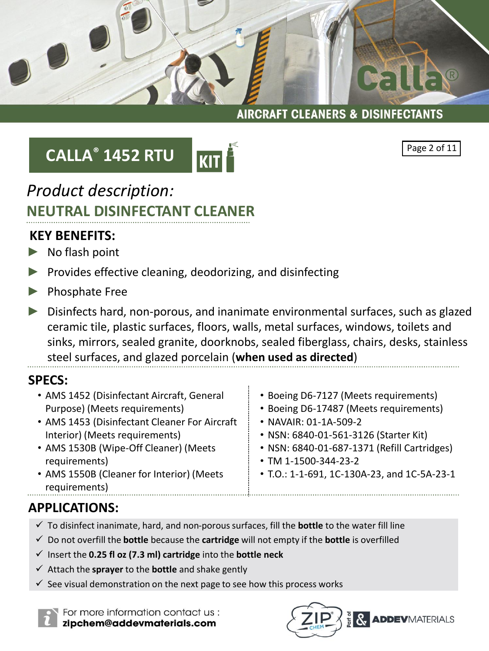## **CALLA® 1452 RTU**



### *Product description:* **NEUTRAL DISINFECTANT CLEANER**

### **KEY BENEFITS:**

- ► No flash point
- ► Provides effective cleaning, deodorizing, and disinfecting
- ► Phosphate Free
- ► Disinfects hard, non-porous, and inanimate environmental surfaces, such as glazed ceramic tile, plastic surfaces, floors, walls, metal surfaces, windows, toilets and sinks, mirrors, sealed granite, doorknobs, sealed fiberglass, chairs, desks, stainless steel surfaces, and glazed porcelain (**when used as directed**)

### **SPECS:**

- AMS 1452 (Disinfectant Aircraft, General Purpose) (Meets requirements)
- AMS 1453 (Disinfectant Cleaner For Aircraft Interior) (Meets requirements)
- AMS 1530B (Wipe-Off Cleaner) (Meets requirements)
- AMS 1550B (Cleaner for Interior) (Meets requirements)
- Boeing D6-7127 (Meets requirements)
- Boeing D6-17487 (Meets requirements)
- NAVAIR: 01-1A-509-2
- NSN: 6840-01-561-3126 (Starter Kit)
- NSN: 6840-01-687-1371 (Refill Cartridges)
- TM 1-1500-344-23-2
- T.O.: 1-1-691, 1C-130A-23, and 1C-5A-23-1

### **APPLICATIONS:**

- ✓ To disinfect inanimate, hard, and non-porous surfaces, fill the **bottle** to the water fill line
- ✓ Do not overfill the **bottle** because the **cartridge** will not empty if the **bottle** is overfilled
- ✓ Insert the **0.25 fl oz (7.3 ml) cartridge** into the **bottle neck**
- ✓ Attach the **sprayer** to the **bottle** and shake gently
- $\checkmark$  See visual demonstration on the next page to see how this process works

For more information contact us: zipchem@addevmaterials.com





 $\setminus$   $\circ$ 

Galle

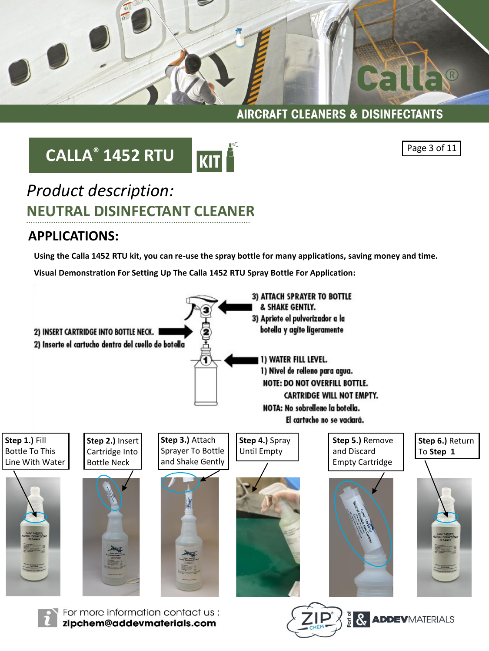

# **CALLA® 1452 RTU**



Page 3 of 11

## *Product description:* **NEUTRAL DISINFECTANT CLEANER**

### **APPLICATIONS:**

**Visual Demonstration For Setting Up The Calla 1452 RTU Spray Bottle For Application: Using the Calla 1452 RTU kit, you can re-use the spray bottle for many applications, saving money and time.**

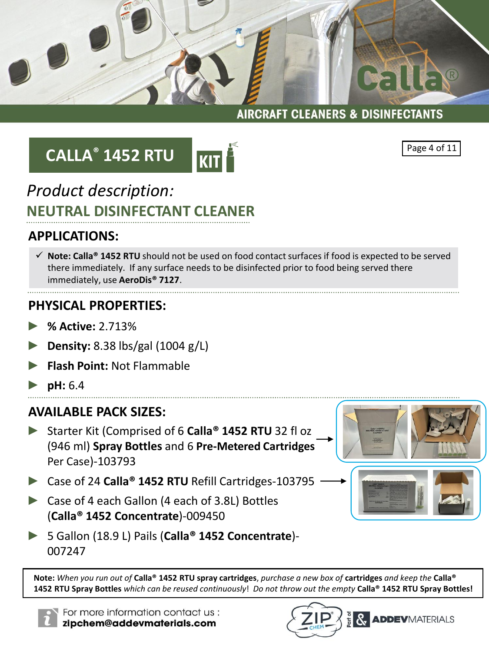

## **CALLA® 1452 RTU**



#### Page 4 of 11

Galles

### *Product description:* **NEUTRAL DISINFECTANT CLEANER**

### **APPLICATIONS:**

✓ **Note: Calla® 1452 RTU** should not be used on food contact surfaces if food is expected to be served there immediately. If any surface needs to be disinfected prior to food being served there immediately, use **AeroDis® 7127**.

### **PHYSICAL PROPERTIES:**

- ► **% Active:** 2.713%
- ► **Density:** 8.38 lbs/gal (1004 g/L)
- ► **Flash Point:** Not Flammable
- ► **pH:** 6.4

### **AVAILABLE PACK SIZES:**

- ► Starter Kit (Comprised of 6 **Calla® 1452 RTU** 32 fl oz (946 ml) **Spray Bottles** and 6 **Pre-Metered Cartridges**  Per Case)-103793
- ► Case of 24 **Calla® 1452 RTU** Refill Cartridges-103795
- ► Case of 4 each Gallon (4 each of 3.8L) Bottles (**Calla® 1452 Concentrate**)-009450
- ► 5 Gallon (18.9 L) Pails (**Calla® 1452 Concentrate**)- 007247

**Note:** *When you run out of* **Calla® 1452 RTU spray cartridges**, *purchase a new box of* **cartridges** *and keep the* **Calla® 1452 RTU Spray Bottles** *which can be reused continuously*! *Do not throw out the empty* **Calla® 1452 RTU Spray Bottles!**





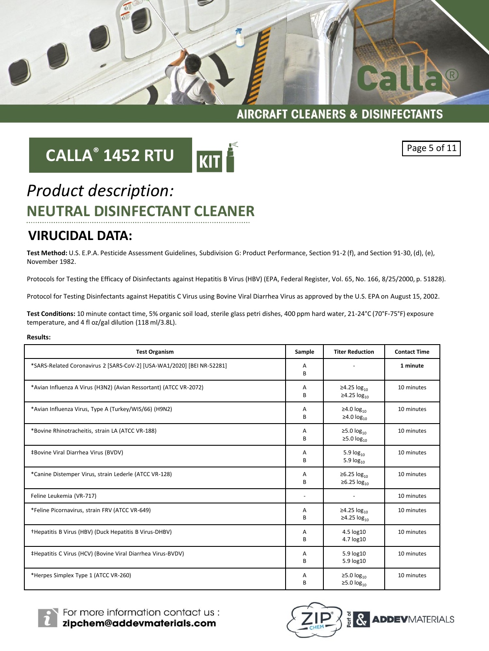

Cal

# **CALLA® 1452 RTU**





 $\circledR$ 

## *Product description:* **NEUTRAL DISINFECTANT CLEANER**

#### **VIRUCIDAL DATA:**

**Test Method:** U.S. E.P.A. Pesticide Assessment Guidelines, Subdivision G: Product Performance, Section 91-2 (f), and Section 91-30, (d), (e), November 1982.

Protocols for Testing the Efficacy of Disinfectants against Hepatitis B Virus (HBV) (EPA, Federal Register, Vol. 65, No. 166, 8/25/2000, p. 51828).

Protocol for Testing Disinfectants against Hepatitis C Virus using Bovine Viral Diarrhea Virus as approved by the U.S. EPA on August 15, 2002.

**Test Conditions:** 10 minute contact time, 5% organic soil load, sterile glass petri dishes, 400 ppm hard water, 21-24°C (70°F-75°F) exposure temperature, and 4 fl oz/gal dilution (118 ml/3.8L).

#### **Results:**

| <b>Test Organism</b>                                                   | Sample | <b>Titer Reduction</b>                    | <b>Contact Time</b> |
|------------------------------------------------------------------------|--------|-------------------------------------------|---------------------|
| *SARS-Related Coronavirus 2 [SARS-CoV-2] [USA-WA1/2020] [BEI NR-52281] | A<br>B |                                           | 1 minute            |
| *Avian Influenza A Virus (H3N2) (Avian Ressortant) (ATCC VR-2072)      | Α<br>B | ≥4.25 $log_{10}$<br>≥4.25 $log_{10}$      | 10 minutes          |
| *Avian Influenza Virus, Type A (Turkey/WIS/66) (H9N2)                  | A<br>B | ≥4.0 $log_{10}$<br>≥4.0 $log_{10}$        | 10 minutes          |
| *Bovine Rhinotracheitis, strain LA (ATCC VR-188)                       | A<br>В | ≥5.0 $log_{10}$<br>≥5.0 $log_{10}$        | 10 minutes          |
| <b>‡Bovine Viral Diarrhea Virus (BVDV)</b>                             | А<br>B | 5.9 $log_{10}$<br>5.9 $log_{10}$          | 10 minutes          |
| *Canine Distemper Virus, strain Lederle (ATCC VR-128)                  | A<br>В | ≥6.25 $log_{10}$<br>$\geq 6.25 \log_{10}$ | 10 minutes          |
| Feline Leukemia (VR-717)                                               |        | $\overline{\phantom{a}}$                  | 10 minutes          |
| *Feline Picornavirus, strain FRV (ATCC VR-649)                         | A<br>B | ≥4.25 $log_{10}$<br>≥4.25 $log_{10}$      | 10 minutes          |
| †Hepatitis B Virus (HBV) (Duck Hepatitis B Virus-DHBV)                 | A<br>B | 4.5 log10<br>4.7 log10                    | 10 minutes          |
| #Hepatitis C Virus (HCV) (Bovine Viral Diarrhea Virus-BVDV)            | А<br>B | 5.9 log10<br>5.9 log10                    | 10 minutes          |
| *Herpes Simplex Type 1 (ATCC VR-260)                                   | А<br>В | ≥5.0 $log_{10}$<br>$\geq 5.0 \log_{10}$   | 10 minutes          |



For more information contact us : zipchem@addevmaterials.com

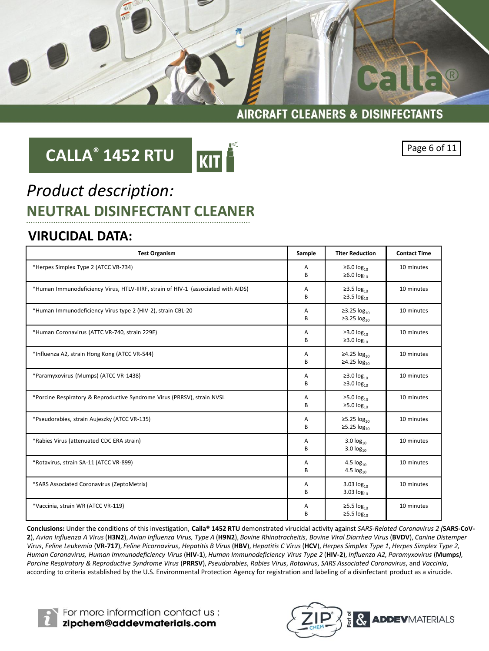

# **CALLA® 1452 RTU**



#### Page 6 of 11

## *Product description:* **NEUTRAL DISINFECTANT CLEANER**

### **VIRUCIDAL DATA:**

| <b>Test Organism</b>                                                              | Sample | <b>Titer Reduction</b>                                | <b>Contact Time</b> |
|-----------------------------------------------------------------------------------|--------|-------------------------------------------------------|---------------------|
| *Herpes Simplex Type 2 (ATCC VR-734)                                              | A<br>B | ≥6.0 $log_{10}$<br>≥6.0 $log_{10}$                    | 10 minutes          |
| *Human Immunodeficiency Virus, HTLV-IIIRF, strain of HIV-1 (associated with AIDS) | A<br>B | ≥3.5 $log_{10}$<br>$\geq$ 3.5 $\log_{10}$             | 10 minutes          |
| *Human Immunodeficiency Virus type 2 (HIV-2), strain CBL-20                       | A<br>B | ≥3.25 $log_{10}$<br>≥3.25 $log_{10}$                  | 10 minutes          |
| *Human Coronavirus (ATTC VR-740, strain 229E)                                     | Α<br>B | ≥3.0 $log_{10}$<br>≥3.0 $log_{10}$                    | 10 minutes          |
| *Influenza A2, strain Hong Kong (ATCC VR-544)                                     | A<br>B | ≥4.25 $log_{10}$<br>≥4.25 $log_{10}$                  | 10 minutes          |
| *Paramyxovirus (Mumps) (ATCC VR-1438)                                             | Α<br>B | ≥3.0 $log_{10}$<br>≥3.0 $log_{10}$                    | 10 minutes          |
| *Porcine Respiratory & Reproductive Syndrome Virus (PRRSV), strain NVSL           | A<br>в | ≥5.0 $log_{10}$<br>≥5.0 $log_{10}$                    | 10 minutes          |
| *Pseudorabies, strain Aujeszky (ATCC VR-135)                                      | Α<br>B | ≥5.25 $log_{10}$<br>≥5.25 $log_{10}$                  | 10 minutes          |
| *Rabies Virus (attenuated CDC ERA strain)                                         | Α<br>B | 3.0 $log_{10}$<br>$3.0 \log_{10}$                     | 10 minutes          |
| *Rotavirus, strain SA-11 (ATCC VR-899)                                            | A<br>B | 4.5 $log_{10}$<br>4.5 $log_{10}$                      | 10 minutes          |
| *SARS Associated Coronavirus (ZeptoMetrix)                                        | Α<br>В | 3.03 $log_{10}$<br>3.03 $log_{10}$                    | 10 minutes          |
| *Vaccinia, strain WR (ATCC VR-119)                                                | A<br>B | $\geq$ 5.5 log <sub>10</sub><br>$\geq$ 5.5 $log_{10}$ | 10 minutes          |

**Conclusions:** Under the conditions of this investigation, **Calla® 1452 RTU** demonstrated virucidal activity against *SARS-Related Coronavirus 2 (***SARS-CoV-2**), *Avian Influenza A Virus* (**H3N2**), *Avian Influenza Virus, Type A* (**H9N2**), *Bovine Rhinotracheitis*, *Bovine Viral Diarrhea Virus* (**BVDV**), *Canine Distemper Virus*, *Feline Leukemia* (**VR-717**), *Feline Picornavirus*, *Hepatitis B Virus* (**HBV**), *Hepatitis C Virus* (**HCV**), *Herpes Simplex Type 1*, *Herpes Simplex Type 2, Human Coronavirus, Human Immunodeficiency Virus* (**HIV-1**), *Human Immunodeficiency Virus Type 2* (**HIV-2**), *Influenza A2, Paramyxovirus* (**Mumps***), Porcine Respiratory & Reproductive Syndrome Virus* (**PRRSV**), *Pseudorabies*, *Rabies Virus*, *Rotavirus*, *SARS Associated Coronavirus*, and *Vaccinia*, according to criteria established by the U.S. Environmental Protection Agency for registration and labeling of a disinfectant product as a virucide.



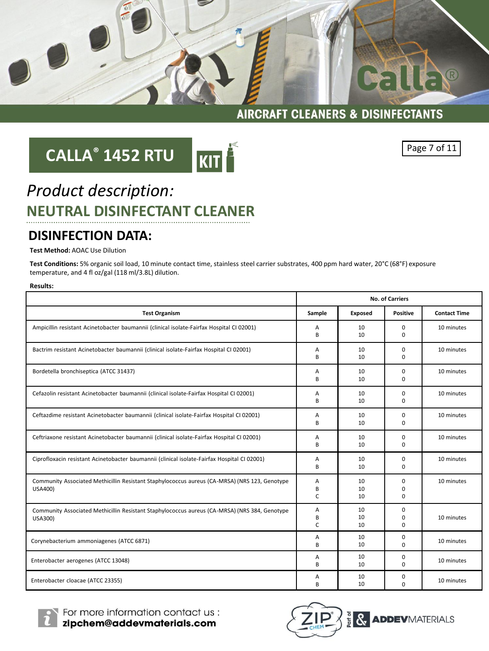

## **CALLA® 1452 RTU**



Page 7 of 11

## *Product description:* **NEUTRAL DISINFECTANT CLEANER**

#### **DISINFECTION DATA:**

**Test Method:** AOAC Use Dilution

**Test Conditions:** 5% organic soil load, 10 minute contact time, stainless steel carrier substrates, 400 ppm hard water, 20°C (68°F) exposure temperature, and 4 fl oz/gal (118 ml/3.8L) dilution.

|                                                                                                          | <b>No. of Carriers</b> |                |                              |                     |
|----------------------------------------------------------------------------------------------------------|------------------------|----------------|------------------------------|---------------------|
| <b>Test Organism</b>                                                                                     | Sample                 | Exposed        | <b>Positive</b>              | <b>Contact Time</b> |
| Ampicillin resistant Acinetobacter baumannii (clinical isolate-Fairfax Hospital CI 02001)                | Α<br>B                 | 10<br>10       | 0<br>$\Omega$                | 10 minutes          |
| Bactrim resistant Acinetobacter baumannii (clinical isolate-Fairfax Hospital CI 02001)                   | А<br>B                 | 10<br>10       | 0<br>$\Omega$                | 10 minutes          |
| Bordetella bronchiseptica (ATCC 31437)                                                                   | А<br>B                 | 10<br>10       | 0<br>0                       | 10 minutes          |
| Cefazolin resistant Acinetobacter baumannii (clinical isolate-Fairfax Hospital CI 02001)                 | А<br>B                 | 10<br>10       | 0<br>$\Omega$                | 10 minutes          |
| Ceftazdime resistant Acinetobacter baumannii (clinical isolate-Fairfax Hospital CI 02001)                | Α<br>B                 | 10<br>10       | $\mathbf 0$<br>$\Omega$      | 10 minutes          |
| Ceftriaxone resistant Acinetobacter baumannii (clinical isolate-Fairfax Hospital CI 02001)               | А<br>B                 | 10<br>10       | 0<br>$\Omega$                | 10 minutes          |
| Ciprofloxacin resistant Acinetobacter baumannii (clinical isolate-Fairfax Hospital CI 02001)             | А<br>B                 | 10<br>10       | 0<br>$\mathbf 0$             | 10 minutes          |
| Community Associated Methicillin Resistant Staphylococcus aureus (CA-MRSA) (NRS 123, Genotype<br>USA400) | Α<br>В<br>C            | 10<br>10<br>10 | 0<br>$\mathbf 0$<br>$\Omega$ | 10 minutes          |
| Community Associated Methicillin Resistant Staphylococcus aureus (CA-MRSA) (NRS 384, Genotype<br>USA300) | А<br>B<br>C            | 10<br>10<br>10 | 0<br>$\mathbf 0$<br>$\Omega$ | 10 minutes          |
| Corynebacterium ammoniagenes (ATCC 6871)                                                                 | Α<br>B                 | 10<br>10       | 0<br>$\Omega$                | 10 minutes          |
| Enterobacter aerogenes (ATCC 13048)                                                                      | Α<br>B                 | 10<br>10       | 0<br>$\Omega$                | 10 minutes          |
| Enterobacter cloacae (ATCC 23355)                                                                        | Α<br>B                 | 10<br>10       | 0<br>$\Omega$                | 10 minutes          |



For more information contact us : zipchem@addevmaterials.com

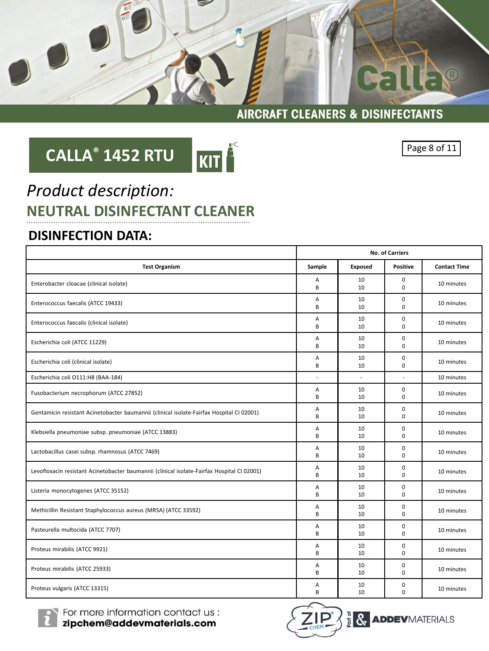

# **CALLA® 1452 RTU**



Page 8 of 11

## *Product description:* **NEUTRAL DISINFECTANT CLEANER**

### **DISINFECTION DATA:**

|                                                                                             | No. of Carriers |          |                         |                     |
|---------------------------------------------------------------------------------------------|-----------------|----------|-------------------------|---------------------|
| <b>Test Organism</b>                                                                        | Sample          | Exposed  | <b>Positive</b>         | <b>Contact Time</b> |
| Enterobacter cloacae (clinical isolate)                                                     | Α<br>B          | 10<br>10 | $\mathbf 0$<br>$\Omega$ | 10 minutes          |
| Enterococcus faecalis (ATCC 19433)                                                          | A<br>B          | 10<br>10 | $\Omega$<br>$\Omega$    | 10 minutes          |
| Enterococcus faecalis (clinical isolate)                                                    | A<br>B          | 10<br>10 | $\mathbf 0$<br>$\Omega$ | 10 minutes          |
| Escherichia coli (ATCC 11229)                                                               | Α<br>B          | 10<br>10 | $\mathbf 0$<br>$\Omega$ | 10 minutes          |
| Escherichia coli (clinical isolate)                                                         | A<br>B          | 10<br>10 | $\mathbf 0$<br>$\Omega$ | 10 minutes          |
| Escherichia coli O111:H8 (BAA-184)                                                          | $\overline{a}$  | $\sim$   | $\overline{a}$          | 10 minutes          |
| Fusobacterium necrophorum (ATCC 27852)                                                      | Α<br>B          | 10<br>10 | $\mathbf 0$<br>$\Omega$ | 10 minutes          |
| Gentamicin resistant Acinetobacter baumannii (clinical isolate-Fairfax Hospital CI 02001)   | Α<br>B          | 10<br>10 | $\mathbf 0$<br>0        | 10 minutes          |
| Klebsiella pneumoniae subsp. pneumoniae (ATCC 13883)                                        | Α<br>B          | 10<br>10 | 0<br>$\Omega$           | 10 minutes          |
| Lactobacillus casei subsp. rhamnosus (ATCC 7469)                                            | Α<br>B          | 10<br>10 | $\mathbf 0$<br>$\Omega$ | 10 minutes          |
| Levofloxacin resistant Acinetobacter baumannii (clinical isolate-Fairfax Hospital CI 02001) | Α<br>B          | 10<br>10 | $\mathbf 0$<br>$\Omega$ | 10 minutes          |
| Listeria monocytogenes (ATCC 35152)                                                         | A<br>B          | 10<br>10 | 0<br>$\Omega$           | 10 minutes          |
| Methicillin Resistant Staphylococcus aureus (MRSA) (ATCC 33592)                             | A<br>B          | 10<br>10 | $\mathbf 0$<br>$\Omega$ | 10 minutes          |
| Pasteurella multocida (ATCC 7707)                                                           | A<br>B          | 10<br>10 | 0<br>$\Omega$           | 10 minutes          |
| Proteus mirabilis (ATCC 9921)                                                               | A<br>B          | 10<br>10 | $\mathbf 0$<br>$\Omega$ | 10 minutes          |
| Proteus mirabilis (ATCC 25933)                                                              | A<br>B          | 10<br>10 | 0<br>0                  | 10 minutes          |
| Proteus vulgaris (ATCC 13315)                                                               | A<br>B          | 10<br>10 | 0<br>0                  | 10 minutes          |



For more information contact us :<br>**zipchem@addevmaterials.com** 

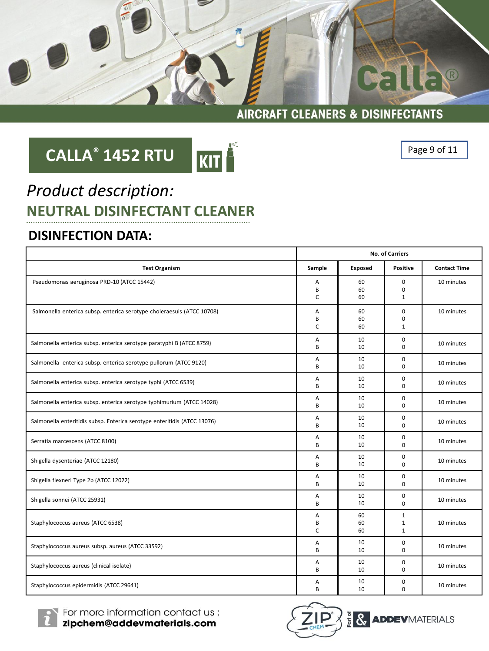

KIT

### **AIRCRAFT CLEANERS & DISINFECTANTS**

## **CALLA® 1452 RTU**

Page 9 of 11

## *Product description:* **NEUTRAL DISINFECTANT CLEANER**

### **DISINFECTION DATA:**

|                                                                          | <b>No. of Carriers</b> |                |                                              |                     |
|--------------------------------------------------------------------------|------------------------|----------------|----------------------------------------------|---------------------|
| <b>Test Organism</b>                                                     | Sample                 | Exposed        | <b>Positive</b>                              | <b>Contact Time</b> |
| Pseudomonas aeruginosa PRD-10 (ATCC 15442)                               | A<br>B<br>$\mathsf{C}$ | 60<br>60<br>60 | $\Omega$<br>$\Omega$<br>$\mathbf{1}$         | 10 minutes          |
| Salmonella enterica subsp. enterica serotype choleraesuis (ATCC 10708)   | А<br>B<br>C            | 60<br>60<br>60 | 0<br>0<br>$\mathbf{1}$                       | 10 minutes          |
| Salmonella enterica subsp. enterica serotype paratyphi B (ATCC 8759)     | A<br>B                 | 10<br>10       | 0<br>$\Omega$                                | 10 minutes          |
| Salmonella enterica subsp. enterica serotype pullorum (ATCC 9120)        | Α<br>B                 | 10<br>10       | 0<br>$\Omega$                                | 10 minutes          |
| Salmonella enterica subsp. enterica serotype typhi (ATCC 6539)           | Α<br>B                 | 10<br>10       | 0<br>$\Omega$                                | 10 minutes          |
| Salmonella enterica subsp. enterica serotype typhimurium (ATCC 14028)    | Α<br>B                 | 10<br>10       | 0<br>$\Omega$                                | 10 minutes          |
| Salmonella enteritidis subsp. Enterica serotype enteritidis (ATCC 13076) | A<br>B                 | 10<br>10       | 0<br>$\Omega$                                | 10 minutes          |
| Serratia marcescens (ATCC 8100)                                          | A<br>B                 | 10<br>10       | 0<br>$\Omega$                                | 10 minutes          |
| Shigella dysenteriae (ATCC 12180)                                        | Α<br>B                 | 10<br>10       | 0<br>$\Omega$                                | 10 minutes          |
| Shigella flexneri Type 2b (ATCC 12022)                                   | Α<br>B                 | 10<br>10       | 0<br>0                                       | 10 minutes          |
| Shigella sonnei (ATCC 25931)                                             | Α<br>B                 | 10<br>10       | 0<br>$\Omega$                                | 10 minutes          |
| Staphylococcus aureus (ATCC 6538)                                        | A<br>B<br>$\mathsf{C}$ | 60<br>60<br>60 | $\mathbf{1}$<br>$\mathbf{1}$<br>$\mathbf{1}$ | 10 minutes          |
| Staphylococcus aureus subsp. aureus (ATCC 33592)                         | Α<br>B                 | 10<br>10       | 0<br>$\Omega$                                | 10 minutes          |
| Staphylococcus aureus (clinical isolate)                                 | Α<br>B                 | 10<br>10       | 0<br>$\Omega$                                | 10 minutes          |
| Staphylococcus epidermidis (ATCC 29641)                                  | Α<br>B                 | 10<br>10       | 0<br>0                                       | 10 minutes          |



For more information contact us : zipchem@addevmaterials.com

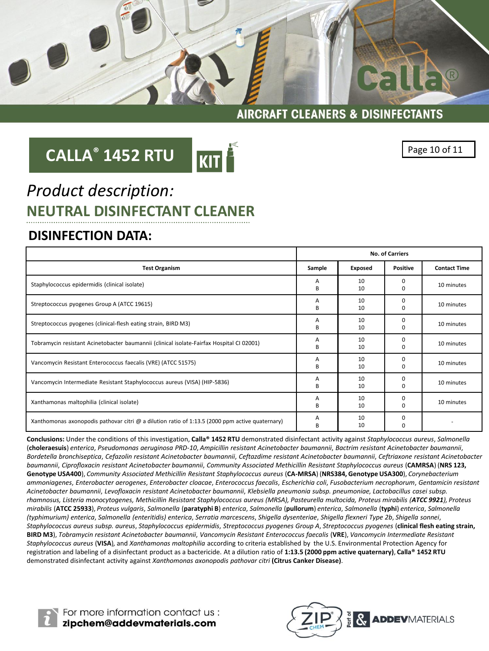

## **CALLA® 1452 RTU**



Page 10 of 11

 $\overline{R}$ 

Galle

### *Product description:* **NEUTRAL DISINFECTANT CLEANER**

#### **DISINFECTION DATA:**

|                                                                                                 | <b>No. of Carriers</b> |                |                      |                     |
|-------------------------------------------------------------------------------------------------|------------------------|----------------|----------------------|---------------------|
| <b>Test Organism</b>                                                                            | Sample                 | <b>Exposed</b> | Positive             | <b>Contact Time</b> |
| Staphylococcus epidermidis (clinical isolate)                                                   | А<br>B                 | 10<br>10       | $\Omega$<br>$\Omega$ | 10 minutes          |
| Streptococcus pyogenes Group A (ATCC 19615)                                                     | А<br>B                 | 10<br>10       | $\Omega$<br>$\Omega$ | 10 minutes          |
| Streptococcus pyogenes (clinical-flesh eating strain, BIRD M3)                                  | А<br>B                 | 10<br>10       | $\Omega$<br>$\Omega$ | 10 minutes          |
| Tobramycin resistant Acinetobacter baumannii (clinical isolate-Fairfax Hospital CI 02001)       | А<br>B                 | 10<br>10       | $\Omega$<br>C        | 10 minutes          |
| Vancomycin Resistant Enterococcus faecalis (VRE) (ATCC 51575)                                   | A<br>B                 | 10<br>10       | $\Omega$<br>C        | 10 minutes          |
| Vancomycin Intermediate Resistant Staphylococcus aureus (VISA) (HIP-5836)                       | А<br>B                 | 10<br>10       | 0<br>C               | 10 minutes          |
| Xanthamonas maltophilia (clinical isolate)                                                      | Α<br>B                 | 10<br>10       | $\Omega$<br>0        | 10 minutes          |
| Xanthomonas axonopodis pathovar citri @ a dilution ratio of 1:13.5 (2000 ppm active quaternary) | Α<br>B                 | 10<br>10       | 0<br>$\Omega$        |                     |

**Conclusions:** Under the conditions of this investigation, **Calla® 1452 RTU** demonstrated disinfectant activity against *Staphylococcus aureus*, *Salmonella* (**choleraesuis**) *enterica*, *Pseudomonas aeruginosa PRD-10*, *Ampicillin resistant Acinetobacter baumannii*, *Bactrim resistant Acinetobacter baumannii*, *Bordetella bronchiseptica*, *Cefazolin resistant Acinetobacter baumannii*, *Ceftazdime resistant Acinetobacter baumannii*, *Ceftriaxone resistant Acinetobacter baumannii*, *Ciprofloxacin resistant Acinetobacter baumannii*, *Community Associated Methicillin Resistant Staphylococcus aureus* (**CAMRSA**) (**NRS 123, Genotype USA400**), *Community Associated Methicillin Resistant Staphylococcus aureus* (**CA-MRSA**) (**NRS384, Genotype USA300**), *Corynebacterium ammoniagenes*, *Enterobacter aerogenes*, *Enterobacter cloacae*, *Enterococcus faecalis*, *Escherichia coli*, *Fusobacterium necrophorum*, *Gentamicin resistant Acinetobacter baumannii*, *Levofloxacin resistant Acinetobacter baumannii*, *Klebsiella pneumonia subsp. pneumoniae*, *Lactobacillus casei subsp. rhamnosus, Listeria monocytogenes, Methicillin Resistant Staphylococcus aureus (MRSA), Pasteurella multocida, Proteus mirabilis (ATCC 9921), Proteus*  mirabilis (ATCC 25933), Proteus vulgaris, Salmonella (paratyphi B) enterica, Salmonella (pullorum) enterica, Salmonella (typhi) enterica, Salmonella *(typhimurium) enterica*, *Salmonella (enteritidis) enterica*, *Serratia marcescens*, *Shigella dysenteriae*, *Shigella flexneri Type 2b*, *Shigella sonnei*, *Staphylococcus aureus subsp. aureus*, *Staphylococcus epidermidis*, *Streptococcus pyogenes Group A*, *Streptococcus pyogenes* (**clinical flesh eating strain, BIRD M3**), *Tobramycin resistant Acinetobacter baumannii*, *Vancomycin Resistant Enterococcus faecalis* (**VRE**), *Vancomycin Intermediate Resistant Staphylococcus aureus* (**VISA**)*,* and *Xanthamonas maltophilia* according to criteria established by the U.S. Environmental Protection Agency for registration and labeling of a disinfectant product as a bactericide. At a dilution ratio of **1:13.5 (2000 ppm active quaternary)**, **Calla® 1452 RTU**  demonstrated disinfectant activity against *Xanthomonas axonopodis pathovar citri* **(Citrus Canker Disease)**.



For more information contact us :<br>**zipchem@addevmaterials.com**